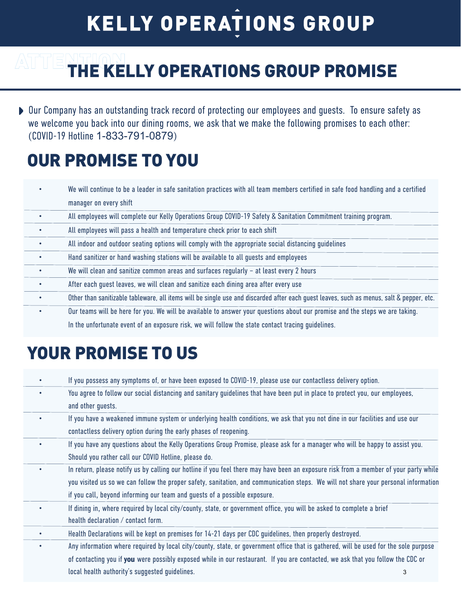## **KELLY OPERATIONS GROUP**

# **ATTEM THE KELLY OPERATIONS GROUP PROMISE**

Our Company has an outstanding track record of protecting our employees and guests. To ensure safety as we welcome you back into our dining rooms, we ask that we make the following promises to each other: (COVID-19 Hotline 1-833-791-0879)

## OUR PROMISE TO YOU

|           | We will continue to be a leader in safe sanitation practices with all team members certified in safe food handling and a certified       |
|-----------|------------------------------------------------------------------------------------------------------------------------------------------|
|           | manager on every shift                                                                                                                   |
|           | All employees will complete our Kelly Operations Group COVID-19 Safety & Sanitation Commitment training program.                         |
|           | All employees will pass a health and temperature check prior to each shift                                                               |
| $\bullet$ | All indoor and outdoor seating options will comply with the appropriate social distancing guidelines                                     |
| $\bullet$ | Hand sanitizer or hand washing stations will be available to all quests and employees                                                    |
| $\bullet$ | We will clean and sanitize common areas and surfaces regularly $-$ at least every 2 hours                                                |
| $\bullet$ | After each quest leaves, we will clean and sanitize each dining area after every use                                                     |
| $\bullet$ | Other than sanitizable tableware, all items will be single use and discarded after each guest leaves, such as menus, salt & pepper, etc. |
|           | Our teams will be here for you. We will be available to answer your questions about our promise and the steps we are taking.             |
|           | In the unfortunate event of an exposure risk, we will follow the state contact tracing guidelines.                                       |

## YOUR PROMISE TO US

|   | If you possess any symptoms of, or have been exposed to COVID-19, please use our contactless delivery option.                         |  |
|---|---------------------------------------------------------------------------------------------------------------------------------------|--|
|   | You agree to follow our social distancing and sanitary guidelines that have been put in place to protect you, our employees,          |  |
|   | and other guests.                                                                                                                     |  |
|   | If you have a weakened immune system or underlying health conditions, we ask that you not dine in our facilities and use our          |  |
|   | contactless delivery option during the early phases of reopening.                                                                     |  |
| ٠ | If you have any questions about the Kelly Operations Group Promise, please ask for a manager who will be happy to assist you.         |  |
|   | Should you rather call our COVID Hotline, please do.                                                                                  |  |
|   | In return, please notify us by calling our hotline if you feel there may have been an exposure risk from a member of your party while |  |
|   | you visited us so we can follow the proper safety, sanitation, and communication steps. We will not share your personal information   |  |
|   | if you call, beyond informing our team and guests of a possible exposure.                                                             |  |
|   | If dining in, where required by local city/county, state, or government office, you will be asked to complete a brief                 |  |
|   | health declaration / contact form.                                                                                                    |  |
|   | Health Declarations will be kept on premises for 14-21 days per CDC guidelines, then properly destroyed.                              |  |
|   | Any information where required by local city/county, state, or government office that is gathered, will be used for the sole purpose  |  |
|   | of contacting you if you were possibly exposed while in our restaurant. If you are contacted, we ask that you follow the CDC or       |  |
|   | local health authority's suggested guidelines.<br>3                                                                                   |  |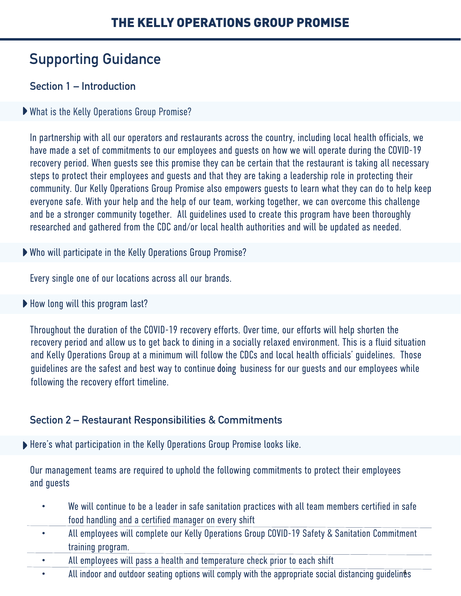### **Supporting Guidance**

#### **Section 1 – Introduction**

#### What is the Kelly Operations Group Promise?

In partnership with all our operators and restaurants across the country, including local health officials, we have made a set of commitments to our employees and guests on how we will operate during the COVID-19 recovery period. When guests see this promise they can be certain that the restaurant is taking all necessary steps to protect their employees and guests and that they are taking a leadership role in protecting their community. Our Kelly Operations Group Promise also empowers guests to learn what they can do to help keep everyone safe. With your help and the help of our team, working together, we can overcome this challenge and be a stronger community together. All guidelines used to create this program have been thoroughly researched and gathered from the CDC and/or local health authorities and will be updated as needed.

Who will participate in the Kelly Operations Group Promise?

Every single one of our locations across all our brands.

▶ How long will this program last?

Throughout the duration of the COVID-19 recovery efforts. Over time, our efforts will help shorten the recovery period and allow us to get back to dining in a socially relaxed environment. This is a fluid situation and Kelly Operations Group at a minimum will follow the CDCs and local health officials' guidelines. Those guidelines are the safest and best way to continue doing business for our quests and our employees while following the recovery effort timeline.

#### **Section 2 – Restaurant Responsibilities & Commitments**

Here's what participation in the Kelly Operations Group Promise looks like.

Our management teams are required to uphold the following commitments to protect their employees and guests

- We will continue to be a leader in safe sanitation practices with all team members certified in safe food handling and a certified manager on every shift
- All employees will complete our Kelly Operations Group COVID-19 Safety & Sanitation Commitment training program.
- All employees will pass a health and temperature check prior to each shift
- All indoor and outdoor seating options will comply with the appropriate social distancing guidelines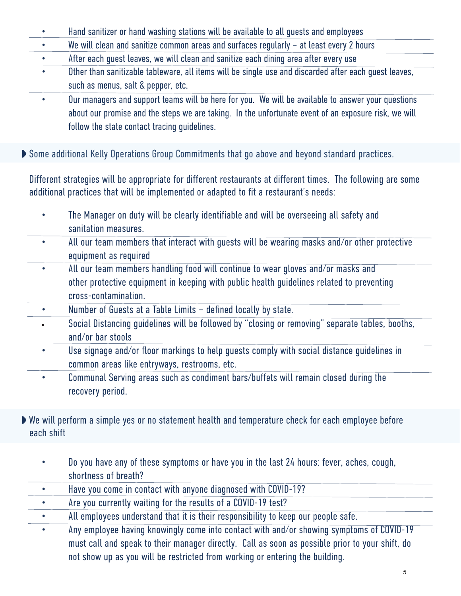- Hand sanitizer or hand washing stations will be available to all guests and employees
- We will clean and sanitize common areas and surfaces regularly at least every 2 hours
- After each guest leaves, we will clean and sanitize each dining area after every use
- Other than sanitizable tableware, all items will be single use and discarded after each quest leaves, such as menus, salt & pepper, etc.
	- Our managers and support teams will be here for you. We will be available to answer your questions about our promise and the steps we are taking. In the unfortunate event of an exposure risk, we will follow the state contact tracing guidelines.
- Some additional Kelly Operations Group Commitments that go above and beyond standard practices.

Different strategies will be appropriate for different restaurants at different times. The following are some additional practices that will be implemented or adapted to fit a restaurant's needs:

- The Manager on duty will be clearly identifiable and will be overseeing all safety and sanitation measures.
- All our team members that interact with guests will be wearing masks and/or other protective equipment as required
- All our team members handling food will continue to wear gloves and/or masks and other protective equipment in keeping with public health guidelines related to preventing cross-contamination.
- Number of Guests at a Table Limits defined locally by state.
	- Social Distancing guidelines will be followed by "closing or removing" separate tables, booths, and/or bar stools
	- Use signage and/or floor markings to help guests comply with social distance guidelines in common areas like entryways, restrooms, etc.
	- Communal Serving areas such as condiment bars/buffets will remain closed during the recovery period.
- We will perform a simple yes or no statement health and temperature check for each employee before each shift
	- Do you have any of these symptoms or have you in the last 24 hours: fever, aches, cough, shortness of breath?
	- Have you come in contact with anyone diagnosed with COVID-19?
	- Are you currently waiting for the results of a COVID-19 test?
	- All employees understand that it is their responsibility to keep our people safe.
	- Any employee having knowingly come into contact with and/or showing symptoms of COVID-19 must call and speak to their manager directly. Call as soon as possible prior to your shift, do not show up as you will be restricted from working or entering the building.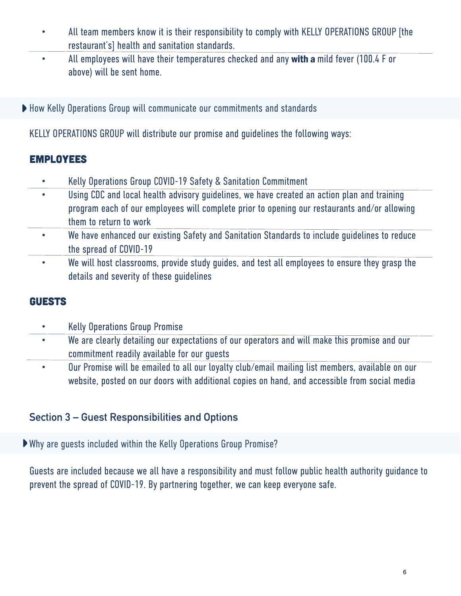- All team members know it is their responsibility to comply with KELLY OPERATIONS GROUP [the restaurant's] health and sanitation standards.
- All employees will have their temperatures checked and any with a mild fever (100.4 F or above) will be sent home.
- ▶ How Kelly Operations Group will communicate our commitments and standards

KELLY OPERATIONS GROUP will distribute our promise and guidelines the following ways:

#### EMPLOYEES

- Kelly Operations Group COVID-19 Safety & Sanitation Commitment
- Using CDC and local health advisory quidelines, we have created an action plan and training program each of our employees will complete prior to opening our restaurants and/or allowing them to return to work
- We have enhanced our existing Safety and Sanitation Standards to include guidelines to reduce the spread of COVID-19
- We will host classrooms, provide study guides, and test all employees to ensure they grasp the details and severity of these guidelines

#### GUESTS

- Kelly Operations Group Promise
- We are clearly detailing our expectations of our operators and will make this promise and our commitment readily available for our guests
- Our Promise will be emailed to all our loyalty club/email mailing list members, available on our website, posted on our doors with additional copies on hand, and accessible from social media

#### **Section 3 – Guest Responsibilities and Options**

Why are guests included within the Kelly Operations Group Promise?

Guests are included because we all have a responsibility and must follow public health authority guidance to prevent the spread of COVID-19. By partnering together, we can keep everyone safe.